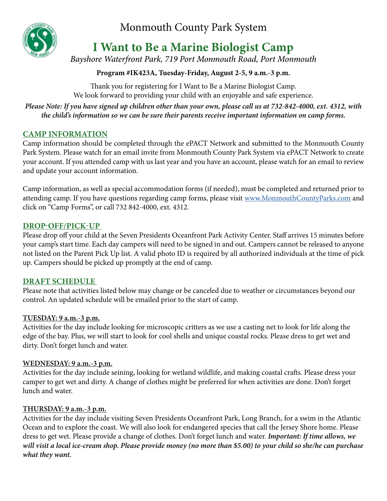Monmouth County Park System

# **I Want to Be a Marine Biologist Camp**

*Bayshore Waterfront Park, 719 Port Monmouth Road, Port Monmouth*

# **Program #IK423A, Tuesday-Friday, August 2-5, 9 a.m.-3 p.m.**

Thank you for registering for I Want to Be a Marine Biologist Camp. We look forward to providing your child with an enjoyable and safe experience.

*Please Note: If you have signed up children other than your own, please call us at 732-842-4000, ext. 4312, with the child's information so we can be sure their parents receive important information on camp forms.*

# **CAMP INFORMATION**

Camp information should be completed through the ePACT Network and submitted to the Monmouth County Park System. Please watch for an email invite from Monmouth County Park System via ePACT Network to create your account. If you attended camp with us last year and you have an account, please watch for an email to review and update your account information.

Camp information, as well as special accommodation forms (if needed), must be completed and returned prior to attending camp. If you have questions regarding camp forms, please visit [www.MonmouthCountyParks.com](http://www.MonmouthCountyParks.com) and click on "Camp Forms", or call 732 842-4000, ext. 4312.

# **DROP-OFF/PICK-UP**

Please drop off your child at the Seven Presidents Oceanfront Park Activity Center. Staff arrives 15 minutes before your camp's start time. Each day campers will need to be signed in and out. Campers cannot be released to anyone not listed on the Parent Pick Up list. A valid photo ID is required by all authorized individuals at the time of pick up. Campers should be picked up promptly at the end of camp.

## **DRAFT SCHEDULE**

Please note that activities listed below may change or be canceled due to weather or circumstances beyond our control. An updated schedule will be emailed prior to the start of camp.

## **TUESDAY: 9 a.m.-3 p.m.**

Activities for the day include looking for microscopic critters as we use a casting net to look for life along the edge of the bay. Plus, we will start to look for cool shells and unique coastal rocks. Please dress to get wet and dirty. Don't forget lunch and water.

## **WEDNESDAY: 9 a.m.-3 p.m.**

Activities for the day include seining, looking for wetland wildlife, and making coastal crafts. Please dress your camper to get wet and dirty. A change of clothes might be preferred for when activities are done. Don't forget lunch and water.

## **THURSDAY: 9 a.m.-3 p.m.**

Activities for the day include visiting Seven Presidents Oceanfront Park, Long Branch, for a swim in the Atlantic Ocean and to explore the coast. We will also look for endangered species that call the Jersey Shore home. Please dress to get wet. Please provide a change of clothes. Don't forget lunch and water. *Important: If time allows, we will visit a local ice-cream shop. Please provide money (no more than \$5.00) to your child so she/he can purchase what they want.*